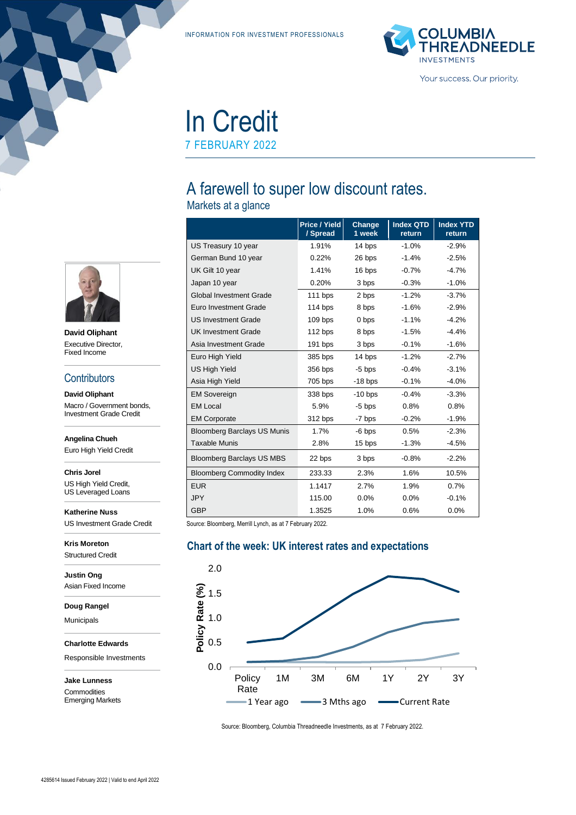INFORMATION FOR INVESTMENT PROFESSIONALS



# In Credit 7 FEBRUARY 2022

## A farewell to super low discount rates.

Markets at a glance

|                                    | <b>Price / Yield</b><br>/ Spread | Change<br>1 week | <b>Index QTD</b><br>return | <b>Index YTD</b><br>return |
|------------------------------------|----------------------------------|------------------|----------------------------|----------------------------|
| US Treasury 10 year                | 1.91%                            | 14 bps           | $-1.0%$                    | $-2.9%$                    |
| German Bund 10 year                | 0.22%                            | 26 bps           | $-1.4%$                    | $-2.5%$                    |
| UK Gilt 10 year                    | 1.41%                            | 16 bps           | $-0.7%$                    | $-4.7%$                    |
| Japan 10 year                      | 0.20%                            | 3 bps            | $-0.3%$                    | $-1.0%$                    |
| <b>Global Investment Grade</b>     | $111$ bps                        | 2 bps            | $-1.2%$                    | $-3.7%$                    |
| Euro Investment Grade              | 114 bps                          | 8 bps            | $-1.6%$                    | $-2.9%$                    |
| <b>US Investment Grade</b>         | $109$ bps                        | 0 bps            | $-1.1%$                    | $-4.2%$                    |
| <b>UK Investment Grade</b>         | 112 bps                          | 8 bps            | $-1.5%$                    | $-4.4%$                    |
| Asia Investment Grade              | $191$ bps                        | 3 bps            | $-0.1%$                    | $-1.6%$                    |
| Euro High Yield                    | 385 bps                          | 14 bps           | $-1.2%$                    | $-2.7%$                    |
| <b>US High Yield</b>               | 356 bps                          | $-5$ bps         | $-0.4%$                    | $-3.1%$                    |
| Asia High Yield                    | 705 bps                          | $-18$ bps        | $-0.1%$                    | $-4.0%$                    |
| <b>EM Sovereign</b>                | 338 bps                          | $-10$ bps        | $-0.4%$                    | $-3.3%$                    |
| <b>EM Local</b>                    | 5.9%                             | $-5$ bps         | 0.8%                       | 0.8%                       |
| <b>EM Corporate</b>                | 312 bps                          | -7 bps           | $-0.2%$                    | $-1.9%$                    |
| <b>Bloomberg Barclays US Munis</b> | 1.7%                             | $-6$ bps         | 0.5%                       | $-2.3%$                    |
| <b>Taxable Munis</b>               | 2.8%                             | 15 bps           | $-1.3%$                    | $-4.5%$                    |
| <b>Bloomberg Barclays US MBS</b>   | 22 bps                           | 3 bps            | $-0.8%$                    | $-2.2%$                    |
| <b>Bloomberg Commodity Index</b>   | 233.33                           | 2.3%             | 1.6%                       | 10.5%                      |
| <b>EUR</b>                         | 1.1417                           | 2.7%             | 1.9%                       | 0.7%                       |
| <b>JPY</b>                         | 115.00                           | 0.0%             | 0.0%                       | $-0.1%$                    |
| <b>GBP</b>                         | 1.3525                           | 1.0%             | 0.6%                       | 0.0%                       |

Source: Bloomberg, Merrill Lynch, as at 7 February 2022.

#### **Chart of the week: UK interest rates and expectations**



Source: Bloomberg, Columbia Threadneedle Investments, as at 7 February 2022.



**David Oliphant** Executive Director, Fixed Income

#### **Contributors**

**David Oliphant** Macro / Government bonds, Investment Grade Credit

**Angelina Chueh**

Euro High Yield Credit

**Chris Jorel**

US High Yield Credit, US Leveraged Loans

**Katherine Nuss** US Investment Grade Credit

**Kris Moreton** Structured Credit

**Justin Ong** Asian Fixed Income

**Doug Rangel**

Municipals

**Charlotte Edwards**

Responsible Investments

**Jake Lunness** Commodities

Emerging Markets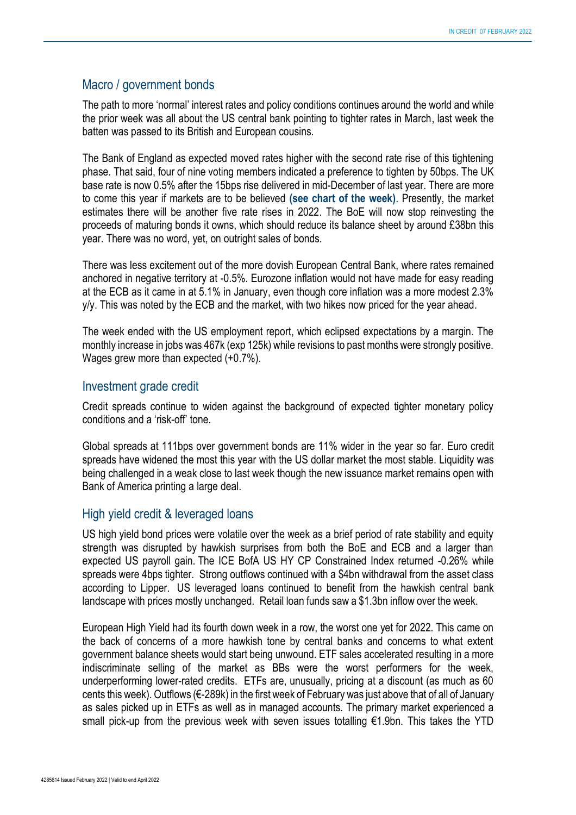#### Macro / government bonds

The path to more 'normal' interest rates and policy conditions continues around the world and while the prior week was all about the US central bank pointing to tighter rates in March, last week the batten was passed to its British and European cousins.

The Bank of England as expected moved rates higher with the second rate rise of this tightening phase. That said, four of nine voting members indicated a preference to tighten by 50bps. The UK base rate is now 0.5% after the 15bps rise delivered in mid-December of last year. There are more to come this year if markets are to be believed **(see chart of the week)**. Presently, the market estimates there will be another five rate rises in 2022. The BoE will now stop reinvesting the proceeds of maturing bonds it owns, which should reduce its balance sheet by around £38bn this year. There was no word, yet, on outright sales of bonds.

There was less excitement out of the more dovish European Central Bank, where rates remained anchored in negative territory at -0.5%. Eurozone inflation would not have made for easy reading at the ECB as it came in at 5.1% in January, even though core inflation was a more modest 2.3% y/y. This was noted by the ECB and the market, with two hikes now priced for the year ahead.

The week ended with the US employment report, which eclipsed expectations by a margin. The monthly increase in jobs was 467k (exp 125k) while revisions to past months were strongly positive. Wages grew more than expected (+0.7%).

#### Investment grade credit

Credit spreads continue to widen against the background of expected tighter monetary policy conditions and a 'risk-off' tone.

Global spreads at 111bps over government bonds are 11% wider in the year so far. Euro credit spreads have widened the most this year with the US dollar market the most stable. Liquidity was being challenged in a weak close to last week though the new issuance market remains open with Bank of America printing a large deal.

#### High yield credit & leveraged loans

US high yield bond prices were volatile over the week as a brief period of rate stability and equity strength was disrupted by hawkish surprises from both the BoE and ECB and a larger than expected US payroll gain. The ICE BofA US HY CP Constrained Index returned -0.26% while spreads were 4bps tighter. Strong outflows continued with a \$4bn withdrawal from the asset class according to Lipper. US leveraged loans continued to benefit from the hawkish central bank landscape with prices mostly unchanged. Retail loan funds saw a \$1.3bn inflow over the week.

European High Yield had its fourth down week in a row, the worst one yet for 2022. This came on the back of concerns of a more hawkish tone by central banks and concerns to what extent government balance sheets would start being unwound. ETF sales accelerated resulting in a more indiscriminate selling of the market as BBs were the worst performers for the week, underperforming lower-rated credits. ETFs are, unusually, pricing at a discount (as much as 60 cents this week). Outflows (€-289k) in the first week of February was just above that of all of January as sales picked up in ETFs as well as in managed accounts. The primary market experienced a small pick-up from the previous week with seven issues totalling €1.9bn. This takes the YTD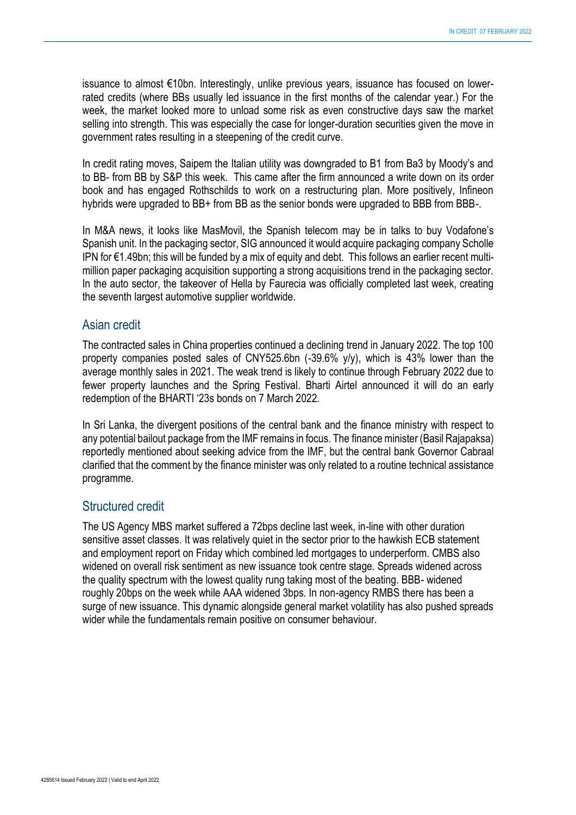issuance to almost €10bn. Interestingly, unlike previous years, issuance has focused on lowerrated credits (where BBs usually led issuance in the first months of the calendar year.) For the week, the market looked more to unload some risk as even constructive days saw the market selling into strength. This was especially the case for longer-duration securities given the move in government rates resulting in a steepening of the credit curve.

In credit rating moves, Saipem the Italian utility was downgraded to B1 from Ba3 by Moody's and to BB- from BB by S&P this week. This came after the firm announced a write down on its order book and has engaged Rothschilds to work on a restructuring plan. More positively, Infineon hybrids were upgraded to BB+ from BB as the senior bonds were upgraded to BBB from BBB-.

In M&A news, it looks like MasMovil, the Spanish telecom may be in talks to buy Vodafone's Spanish unit. In the packaging sector, SIG announced it would acquire packaging company Scholle IPN for €1.49bn; this will be funded by a mix of equity and debt. This follows an earlier recent multimillion paper packaging acquisition supporting a strong acquisitions trend in the packaging sector. In the auto sector, the takeover of Hella by Faurecia was officially completed last week, creating the seventh largest automotive supplier worldwide.

#### Asian credit

The contracted sales in China properties continued a declining trend in January 2022. The top 100 property companies posted sales of CNY525.6bn (-39.6% y/y), which is 43% lower than the average monthly sales in 2021. The weak trend is likely to continue through February 2022 due to fewer property launches and the Spring Festival. Bharti Airtel announced it will do an early redemption of the BHARTI '23s bonds on 7 March 2022.

In Sri Lanka, the divergent positions of the central bank and the finance ministry with respect to any potential bailout package from the IMF remains in focus. The finance minister (Basil Rajapaksa) reportedly mentioned about seeking advice from the IMF, but the central bank Governor Cabraal clarified that the comment by the finance minister was only related to a routine technical assistance programme.

#### Structured credit

The US Agency MBS market suffered a 72bps decline last week, in-line with other duration sensitive asset classes. It was relatively quiet in the sector prior to the hawkish ECB statement and employment report on Friday which combined led mortgages to underperform. CMBS also widened on overall risk sentiment as new issuance took centre stage. Spreads widened across the quality spectrum with the lowest quality rung taking most of the beating. BBB- widened roughly 20bps on the week while AAA widened 3bps. In non-agency RMBS there has been a surge of new issuance. This dynamic alongside general market volatility has also pushed spreads wider while the fundamentals remain positive on consumer behaviour.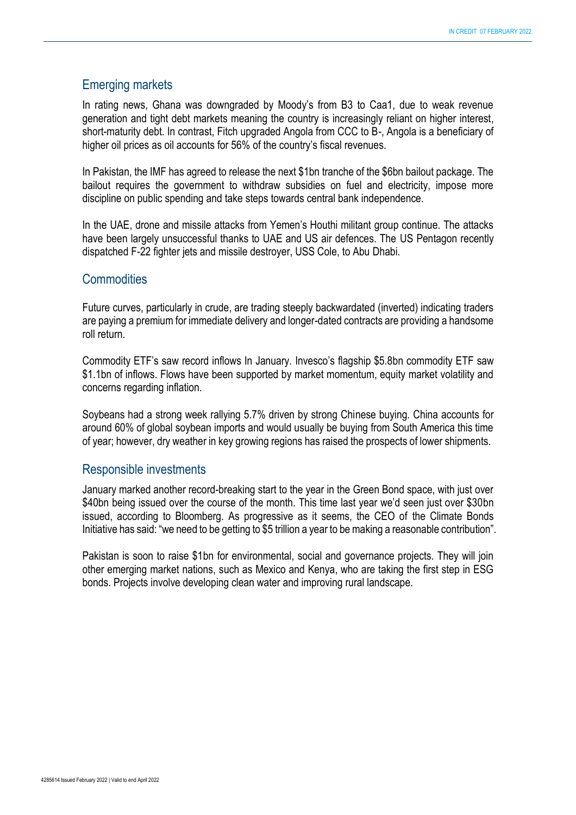#### Emerging markets

In rating news, Ghana was downgraded by Moody's from B3 to Caa1, due to weak revenue generation and tight debt markets meaning the country is increasingly reliant on higher interest, short-maturity debt. In contrast, Fitch upgraded Angola from CCC to B-, Angola is a beneficiary of higher oil prices as oil accounts for 56% of the country's fiscal revenues.

In Pakistan, the IMF has agreed to release the next \$1bn tranche of the \$6bn bailout package. The bailout requires the government to withdraw subsidies on fuel and electricity, impose more discipline on public spending and take steps towards central bank independence.

In the UAE, drone and missile attacks from Yemen's Houthi militant group continue. The attacks have been largely unsuccessful thanks to UAE and US air defences. The US Pentagon recently dispatched F-22 fighter jets and missile destroyer, USS Cole, to Abu Dhabi.

#### **Commodities**

Future curves, particularly in crude, are trading steeply backwardated (inverted) indicating traders are paying a premium for immediate delivery and longer-dated contracts are providing a handsome roll return.

Commodity ETF's saw record inflows In January. Invesco's flagship \$5.8bn commodity ETF saw \$1.1bn of inflows. Flows have been supported by market momentum, equity market volatility and concerns regarding inflation.

Soybeans had a strong week rallying 5.7% driven by strong Chinese buying. China accounts for around 60% of global soybean imports and would usually be buying from South America this time of year; however, dry weather in key growing regions has raised the prospects of lower shipments.

#### Responsible investments

January marked another record-breaking start to the year in the Green Bond space, with just over \$40bn being issued over the course of the month. This time last year we'd seen just over \$30bn issued, according to Bloomberg. As progressive as it seems, the CEO of the Climate Bonds Initiative has said: "we need to be getting to \$5 trillion a year to be making a reasonable contribution".

Pakistan is soon to raise \$1bn for environmental, social and governance projects. They will join other emerging market nations, such as Mexico and Kenya, who are taking the first step in ESG bonds. Projects involve developing clean water and improving rural landscape.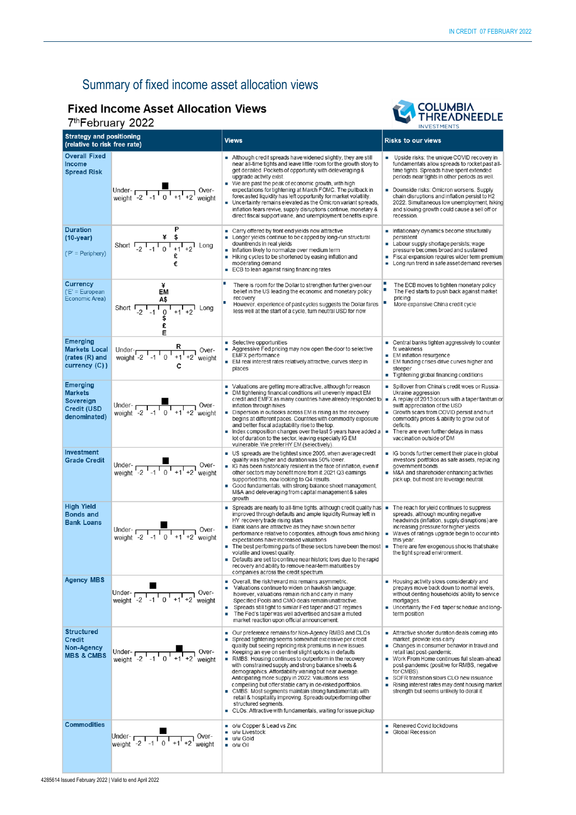### Summary of fixed income asset allocation views

### **Fixed Income Asset Allocation Views**

### 7th February 2022



| $1 - 1$ $0 \times 1$ $0 \times 1$                                                    |                                                                                                                                                              |                                                                                                                                                                                                                                                                                                                                                                                                                                                                                                                                                                                                                                                                                                                                                                         | <b>INVESTMENTS</b>                                                                                                                                                                                                                                                                                                                                                                                                  |  |
|--------------------------------------------------------------------------------------|--------------------------------------------------------------------------------------------------------------------------------------------------------------|-------------------------------------------------------------------------------------------------------------------------------------------------------------------------------------------------------------------------------------------------------------------------------------------------------------------------------------------------------------------------------------------------------------------------------------------------------------------------------------------------------------------------------------------------------------------------------------------------------------------------------------------------------------------------------------------------------------------------------------------------------------------------|---------------------------------------------------------------------------------------------------------------------------------------------------------------------------------------------------------------------------------------------------------------------------------------------------------------------------------------------------------------------------------------------------------------------|--|
| <b>Strategy and positioning</b><br>(relative to risk free rate)                      |                                                                                                                                                              | <b>Views</b>                                                                                                                                                                                                                                                                                                                                                                                                                                                                                                                                                                                                                                                                                                                                                            | <b>Risks to our views</b>                                                                                                                                                                                                                                                                                                                                                                                           |  |
| <b>Overall Fixed</b><br>Income<br><b>Spread Risk</b>                                 | Under-<br>weight $-2$ $1$ -1 $1$ 0 $1$ +1 +2 weight                                                                                                          | Although credit spreads have widened slightly, they are still<br>near all-time tights and leave little room for the growth story to<br>get derailed. Pockets of opportunity with deleveraging &<br>upgrade activity exist.<br>We are past the peak of economic growth, with high<br>expectations for tightening at March FOMC. The pullback in<br>forecasted liquidity has left opportunity for market volatility.<br>Uncertainty remains elevated as the Omicron variant spreads,<br>inflation fears revive, supply disruptions continue, monetary &<br>direct fiscal support wane, and unemployment benefits expire.                                                                                                                                                  | Upside risks: the unique COVID recovery in<br>fundamentals allow spreads to rocket past all-<br>time tights. Spreads have spent extended<br>periods near tights in other periods as well.<br>Downside risks: Omicron worsens. Supply<br>٠<br>chain disruptions and inflation persist to H2<br>2022. Simultaneous low unemployment, hiking<br>and slowing growth could cause a sell off or<br>recession.             |  |
| <b>Duration</b><br>$(10-year)$<br>$('P' = Periphery)$                                | Short $\begin{array}{cc} & \frac{4}{5} & \frac{6}{5} \\ -2 & -1 & 0 & -1 \\ 1 & 0 & -1 & -2 \end{array}$ Long<br>€                                           | ■ Carry offered by front end yields now attractive<br>• Longer yields continue to be capped by long-run structural<br>downtrends in real yields<br>Inflation likely to normalize over medium term<br>Hiking cycles to be shortened by easing inflation and<br>moderating demand<br>ECB to lean against rising financing rates<br>п                                                                                                                                                                                                                                                                                                                                                                                                                                      | Inflationary dynamics become structurally<br>persistent<br>Labour supply shortage persists; wage<br>pressure becomes broad and sustained<br>Fiscal expansion requires wider term premium<br>• Long run trend in safe asset demand reverses                                                                                                                                                                          |  |
| <b>Currency</b><br>$(E' = European$<br>Economic Area)                                | ¥<br>EM<br>A\$<br>Short $\frac{1}{2}$ $\frac{1}{-1}$ $\frac{1}{0}$ $\frac{1}{+1}$ $\frac{1}{+2}$ Long                                                        | There is room for the Dollar to strengthen further given our<br>belief in the US leading the economic and monetary policy<br>recovery<br>However, experience of past cycles suggests the Dollar fares<br>less well at the start of a cycle, tum neutral USD for now                                                                                                                                                                                                                                                                                                                                                                                                                                                                                                     | The ECB moves to tighten monetary policy<br>п<br>The Fed starts to push back against market<br>pricing<br>More expansive China credit cycle                                                                                                                                                                                                                                                                         |  |
| <b>Emerging</b><br><b>Markets Local</b><br>(rates (R) and<br>currency (C))           | Under- $R$<br>weight -2 $1 - 1 - 0 + 1 + 2$ weight                                                                                                           | ■ Selective opportunities<br>Aggressive Fed pricing may now open the door to selective<br>EMFX performance<br>EM real interest rates relatively attractive, curves steep in<br>places                                                                                                                                                                                                                                                                                                                                                                                                                                                                                                                                                                                   | ■ Central banks tighten aggressively to counter<br>fx weakness<br>• EM inflation resurgence<br>• EM funding crises drive curves higher and<br>steeper<br>Tightening global financing conditions<br>٠                                                                                                                                                                                                                |  |
| <b>Emerging</b><br><b>Markets</b><br>Sovereign<br><b>Credit (USD</b><br>denominated) | Under- $\begin{array}{@{}c@{\hspace{1em}}c@{\hspace{1em}}}\n\hline\n\text{Under} - & & \multicolumn{1}{c}\n\end{array}$ Over-<br>weight -2 -1 0 +1 +2 weight | Valuations are getting more attractive, although for reason<br>DM tightening financial conditions will unevenly impact EM<br>credit and EMFX as many countries have already responded to $\vert \bullet \vert$<br>inflation through hikes<br>Dispersion in outlooks across EM is rising as the recovery<br>begins at different paces. Countries with commodity exposure<br>and better fiscal adaptability rise to the top.<br>$\blacksquare$ Index composition changes over the last 5 years have added a $\blacksquare$<br>lot of duration to the sector, leaving especially IG EM<br>vulnerable. We prefer HY EM (selectively)                                                                                                                                        | Spillover from China's credit woes or Russia-<br>Ukraine aggression<br>A replay of 2013 occurs with a taper tantrum or<br>swift appreciation of the USD<br>Growth scars from COVID persist and hurt<br>commodity prices & ability to grow out of<br>deficits.<br>There are even further delays in mass<br>vaccination outside of DM                                                                                 |  |
| Investment<br><b>Grade Credit</b>                                                    | Under-<br>weight $\begin{array}{cc} 1 & 0 \\ -2 & -1 & 0 \\ +1 & +2 \end{array}$ Over-                                                                       | US spreads are the tightest since 2005, when average credit<br>quality was higher and duration was 50% lower.<br>IG has been historically resilient in the face of inflation, even if<br>other sectors may benefit more from it.2021 Q3 eamings<br>supported this, now looking to Q4 results.<br>Good fundamentals, with strong balance sheet management,<br>$\blacksquare$<br>M&A and deleveraging from capital management & sales<br>growth                                                                                                                                                                                                                                                                                                                           | • IG bonds further cement their place in global<br>investors' portfolios as safe assets, replacing<br>government bonds.<br>M&A and shareholder enhancing activities<br>pick up, but most are leverage neutral.                                                                                                                                                                                                      |  |
| <b>High Yield</b><br><b>Bonds and</b><br><b>Bank Loans</b>                           | Under- $\frac{1}{\sqrt{1-1} + 1}$ Over-<br>weight -2 -1 0 +1 +2 weight                                                                                       | Spreads are nearly to all-time tights, although credit quality has $\vert$ =<br>improved through defaults and ample liquidity Runway left in<br>HY recovery trade rising stars<br>■ Bank loans are attractive as they have shown better<br>performance relative to corporates, although flows amid hiking<br>expectations have increased valuations<br>The best performing parts of these sectors have been the most   There are few exogenous shocks that shake<br>volatile and lowest quality.<br>Defaults are set to continue near historic lows due to the rapid<br>recovery and ability to remove near-term maturities by<br>companies across the credit spectrum.                                                                                                 | The reach for yield continues to suppress<br>spreads, although mounting negative<br>headwinds (inflation, supply disruptions) are<br>increasing pressure for higher yields.<br>Waves of ratings upgrade begin to occur into<br>٠<br>this year.<br>the tight spread environment.                                                                                                                                     |  |
| <b>Agency MBS</b>                                                                    | Under- $\frac{1}{\sqrt{2} \cdot 1 \cdot 1}$ 0 <sup>1</sup> +1 <sup>1</sup> +2 <sup>1</sup> weight                                                            | • Overall, the risk/reward mix remains asymmetric.<br>Valuations continue to widen on hawkish language;<br>however, valuations remain rich and cany in many<br>Specified Pools and CMO deals remain unattractive.<br>Spreads still tight to similar Fed taper and QT regimes<br>٠<br>The Fed's taper was well advertised and saw a muted<br>п<br>market reaction upon official announcement.                                                                                                                                                                                                                                                                                                                                                                            | Housing activity slows considerably and<br>prepays move back down to normal levels,<br>without denting households' ability to service<br>mortgages.<br>Uncertainty the Fed taper schedule and long-<br>term position                                                                                                                                                                                                |  |
| <b>Structured</b><br><b>Credit</b><br>Non-Agency<br><b>MBS &amp; CMBS</b>            | Under- $\frac{1}{2}$ -1 $\frac{1}{0}$ +1 +2 weight                                                                                                           | Our preference remains for Non-Agency RMBS and CLOs<br>Spread tightening seems somewhat excessive per credit<br>quality but seeing repricing risk premiums in new issues.<br>Keeping an eye on sentinel slight upticks in defaults<br>$\blacksquare$<br>RMBS: Housing continues to outperform in the recovery<br>with constrained supply and strong balance sheets &<br>demographics. Affordability waning but near average.<br>Anticipating more supply in 2022. Valuations less<br>compelling but offer stable carry in de-risked portfolios.<br>• CMBS: Most segments maintain strong fundamentals with<br>retail & hospitality improving. Spreads outperforming other<br>structured segments.<br>CLOs: Attractive with fundamentals, waiting for issue pickup<br>a. | Attractive shorter duration deals coming into<br>market, provide less carry<br>• Changes in consumer behavior in travel and<br>retail last post-pandemic.<br>Work From Home continues full steam-ahead<br>٠<br>post-pandemic (positive for RMBS, negative<br>for CMBS).<br>SOFR transition slows CLO new issuance<br>Rising interest rates may dent housing market<br>٠<br>strength but seems unlikely to derail it |  |
| <b>Commodities</b>                                                                   | Under- $\frac{1}{\sqrt{2} \cdot 1 \cdot 1}$ 0 $\frac{1}{\sqrt{1} \cdot 1 \cdot 2}$ Over-                                                                     | ■ o/w Copper & Lead vs Zinc<br>u/w Livestock<br>u/w Gold<br>$\bullet$ o/w Oil                                                                                                                                                                                                                                                                                                                                                                                                                                                                                                                                                                                                                                                                                           | Renewed Covid lockdowns<br>Global Recession                                                                                                                                                                                                                                                                                                                                                                         |  |